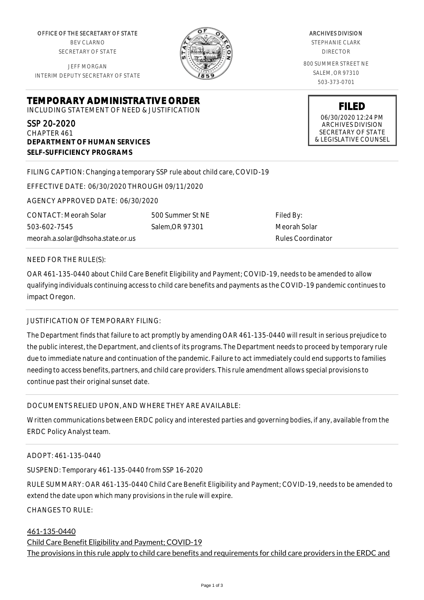OFFICE OF THE SECRETARY OF STATE BEV CLARNO SECRETARY OF STATE

JEFF MORGAN INTERIM DEPUTY SECRETARY OF STATE



ARCHIVES DIVISION STEPHANIE CLARK DIRECTOR 800 SUMMER STREET NE SALEM, OR 97310 503-373-0701

> **FILED** 06/30/2020 12:24 PM ARCHIVES DIVISION SECRETARY OF STATE & LEGISLATIVE COUNSEL

**TEMPORARY ADMINISTRATIVE ORDER** INCLUDING STATEMENT OF NEED & JUSTIFICATION

SSP 20-2020 CHAPTER 461 **DEPARTMENT OF HUMAN SERVICES SELF-SUFFICIENCY PROGRAMS**

FILING CAPTION: Changing a temporary SSP rule about child care, COVID-19

EFFECTIVE DATE: 06/30/2020 THROUGH 09/11/2020

AGENCY APPROVED DATE: 06/30/2020

CONTACT: Meorah Solar 503-602-7545 meorah.a.solar@dhsoha.state.or.us

500 Summer St NE Salem,OR 97301

Filed By: Meorah Solar Rules Coordinator

NEED FOR THE RULE(S):

OAR 461-135-0440 about Child Care Benefit Eligibility and Payment; COVID-19, needs to be amended to allow qualifying individuals continuing access to child care benefits and payments as the COVID-19 pandemic continues to impact Oregon.

## JUSTIFICATION OF TEMPORARY FILING:

The Department finds that failure to act promptly by amending OAR 461-135-0440 will result in serious prejudice to the public interest, the Department, and clients of its programs. The Department needs to proceed by temporary rule due to immediate nature and continuation of the pandemic. Failure to act immediately could end supports to families needing to access benefits, partners, and child care providers. This rule amendment allows special provisions to continue past their original sunset date.

## DOCUMENTS RELIED UPON, AND WHERE THEY ARE AVAILABLE:

Written communications between ERDC policy and interested parties and governing bodies, if any, available from the ERDC Policy Analyst team.

## ADOPT: 461-135-0440

SUSPEND: Temporary 461-135-0440 from SSP 16-2020

RULE SUMMARY: OAR 461-135-0440 Child Care Benefit Eligibility and Payment; COVID-19, needs to be amended to extend the date upon which many provisions in the rule will expire.

CHANGES TO RULE:

## 461-135-0440

Child Care Benefit Eligibility and Payment; COVID-19 The provisions in this rule apply to child care benefits and requirements for child care providers in the ERDC and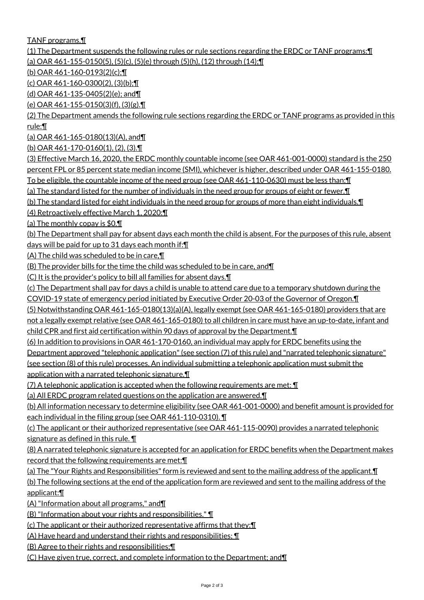TANF programs.¶

(1) The Department suspends the following rules or rule sections regarding the ERDC or TANF programs:¶

(a) OAR 461-155-0150(5), (5)(c), (5)(e) through (5)(h), (12) through (14);¶

(b) OAR 461-160-0193(2)(c);¶

(c) OAR 461-160-0300(2), (3)(b);¶

(d) OAR 461-135-0405(2)(e); and¶

(e) OAR 461-155-0150(3)(f), (3)(g).¶

(2) The Department amends the following rule sections regarding the ERDC or TANF programs as provided in this rule:¶

(a) OAR 461-165-0180(13)(A), and¶

(b) OAR 461-170-0160(1), (2), (3).¶

(3) Effective March 16, 2020, the ERDC monthly countable income (see OAR 461-001-0000) standard is the 250 percent FPL or 85 percent state median income (SMI), whichever is higher, described under OAR 461-155-0180. To be eligible, the countable income of the need group (see OAR 461-110-0630) must be less than:¶

(a) The standard listed for the number of individuals in the need group for groups of eight or fewer.¶

(b) The standard listed for eight individuals in the need group for groups of more than eight individuals.¶

(4) Retroactively effective March 1, 2020:¶

(a) The monthly copay is \$0.¶

(b) The Department shall pay for absent days each month the child is absent. For the purposes of this rule, absent days will be paid for up to 31 days each month if:¶

(A) The child was scheduled to be in care,¶

(B) The provider bills for the time the child was scheduled to be in care, and¶

(C) It is the provider's policy to bill all families for absent days.¶

(c) The Department shall pay for days a child is unable to attend care due to a temporary shutdown during the

COVID-19 state of emergency period initiated by Executive Order 20-03 of the Governor of Oregon.¶

(5) Notwithstanding OAR 461-165-0180(13)(a)(A), legally exempt (see OAR 461-165-0180) providers that are not a legally exempt relative (see OAR 461-165-0180) to all children in care must have an up-to-date, infant and child CPR and first aid certification within 90 days of approval by the Department.¶

(6) In addition to provisions in OAR 461-170-0160, an individual may apply for ERDC benefits using the

Department approved "telephonic application" (see section (7) of this rule) and "narrated telephonic signature"

(see section (8) of this rule) processes. An individual submitting a telephonic application must submit the application with a narrated telephonic signature.¶

(7) A telephonic application is accepted when the following requirements are met: ¶

(a) All ERDC program related questions on the application are answered.¶

(b) All information necessary to determine eligibility (see OAR 461-001-0000) and benefit amount is provided for each individual in the filing group (see OAR 461-110-0310). ¶

(c) The applicant or their authorized representative (see OAR 461-115-0090) provides a narrated telephonic signature as defined in this rule. ¶

(8) A narrated telephonic signature is accepted for an application for ERDC benefits when the Department makes record that the following requirements are met:¶

(a) The "Your Rights and Responsibilities" form is reviewed and sent to the mailing address of the applicant.¶ (b) The following sections at the end of the application form are reviewed and sent to the mailing address of the applicant:¶

(A) "Information about all programs," and¶

(B) "Information about your rights and responsibilities." ¶

(c) The applicant or their authorized representative affirms that they:¶

(A) Have heard and understand their rights and responsibilities; ¶

(B) Agree to their rights and responsibilities;¶

(C) Have given true, correct, and complete information to the Department; and¶